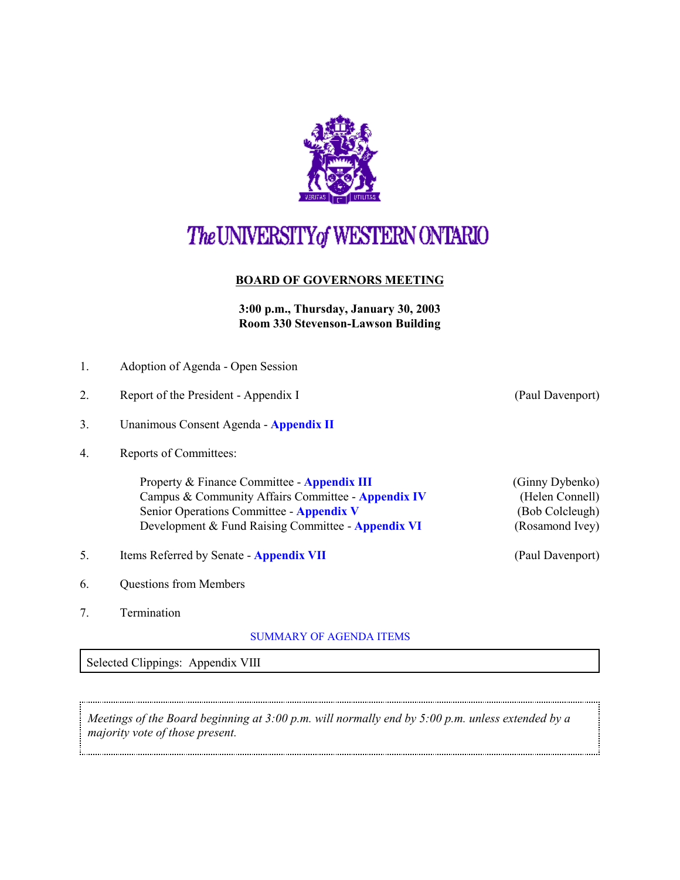

# The UNIVERSITY of WESTERN ONTARIO

### **BOARD OF GOVERNORS MEETING**

**3:00 p.m., Thursday, January 30, 2003 Room 330 Stevenson-Lawson Building**

|  | 1. | Adoption of Agenda - Open Session |
|--|----|-----------------------------------|
|--|----|-----------------------------------|

- 2. Report of the President Appendix I (Paul Davenport)
- 3. Unanimous Consent Agenda **[Appendix II](http://www.uwo.ca/univsec/board/minutes/2003/r0301consent.pdf)**
- 4. Reports of Committees:

Property & Finance Committee - **[Appendix III](http://www.uwo.ca/univsec/board/minutes/2003/r0301pf.pdf)** (Ginny Dybenko) Campus & Community Affairs Committee - **[Appendix IV](http://www.uwo.ca/univsec/board/minutes/2003/r0301ccac.pdf)** (Helen Connell) Senior Operations Committee - **Appendix V** (Bob Colcleugh) Development & Fund Raising Committee - **[Appendix VI](http://www.uwo.ca/univsec/board/minutes/2003/r0301dev.pdf)** (Rosamond Ivey)

- 5. Items Referred by Senate **[Appendix VII](http://www.uwo.ca/univsec/board/minutes/2003/r0301sen.pdf)** (Paul Davenport)
- 6. Questions from Members
- 7. Termination

#### [SUMMARY OF AGENDA ITEMS](#page-1-0)

Selected Clippings: Appendix VIII

*Meetings of the Board beginning at 3:00 p.m. will normally end by 5:00 p.m. unless extended by a majority vote of those present.*